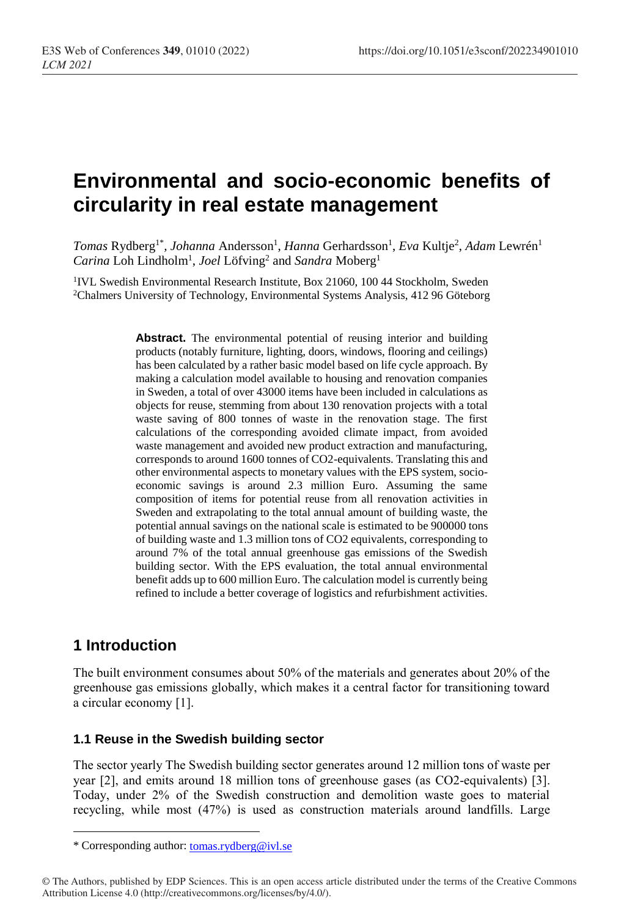# **Environmental and socio-economic benefits of circularity in real estate management**

*Tomas* Rydberg<sup>1\*</sup>, *Johanna* Andersson<sup>1</sup>, *Hanna* Gerhardsson<sup>1</sup>, *Eva* Kultje<sup>2</sup>, Adam Lewrén<sup>1</sup> Carina Loh Lindholm<sup>1</sup>, *Joel* Löfving<sup>2</sup> and *Sandra* Moberg<sup>1</sup>

<sup>1</sup>IVL Swedish Environmental Research Institute, Box 21060, 100 44 Stockholm, Sweden <sup>2</sup>Chalmers University of Technology, Environmental Systems Analysis, 412 96 Göteborg

> **Abstract.** The environmental potential of reusing interior and building products (notably furniture, lighting, doors, windows, flooring and ceilings) has been calculated by a rather basic model based on life cycle approach. By making a calculation model available to housing and renovation companies in Sweden, a total of over 43000 items have been included in calculations as objects for reuse, stemming from about 130 renovation projects with a total waste saving of 800 tonnes of waste in the renovation stage. The first calculations of the corresponding avoided climate impact, from avoided waste management and avoided new product extraction and manufacturing, corresponds to around 1600 tonnes of CO2-equivalents. Translating this and other environmental aspects to monetary values with the EPS system, socioeconomic savings is around 2.3 million Euro. Assuming the same composition of items for potential reuse from all renovation activities in Sweden and extrapolating to the total annual amount of building waste, the potential annual savings on the national scale is estimated to be 900000 tons of building waste and 1.3 million tons of CO2 equivalents, corresponding to around 7% of the total annual greenhouse gas emissions of the Swedish building sector. With the EPS evaluation, the total annual environmental benefit adds up to 600 million Euro. The calculation model is currently being refined to include a better coverage of logistics and refurbishment activities.

# **1 Introduction**

 $\overline{a}$ 

The built environment consumes about 50% of the materials and generates about 20% of the greenhouse gas emissions globally, which makes it a central factor for transitioning toward a circular economy [1].

### **1.1 Reuse in the Swedish building sector**

The sector yearly The Swedish building sector generates around 12 million tons of waste per year [2], and emits around 18 million tons of greenhouse gases (as CO2-equivalents) [3]. Today, under 2% of the Swedish construction and demolition waste goes to material recycling, while most (47%) is used as construction materials around landfills. Large

<sup>\*</sup> Corresponding author: [tomas.rydberg@ivl.se](mailto:tomas.rydberg@ivl.se)

<sup>©</sup> The Authors, published by EDP Sciences. This is an open access article distributed under the terms of the Creative Commons Attribution License 4.0 (http://creativecommons.org/licenses/by/4.0/).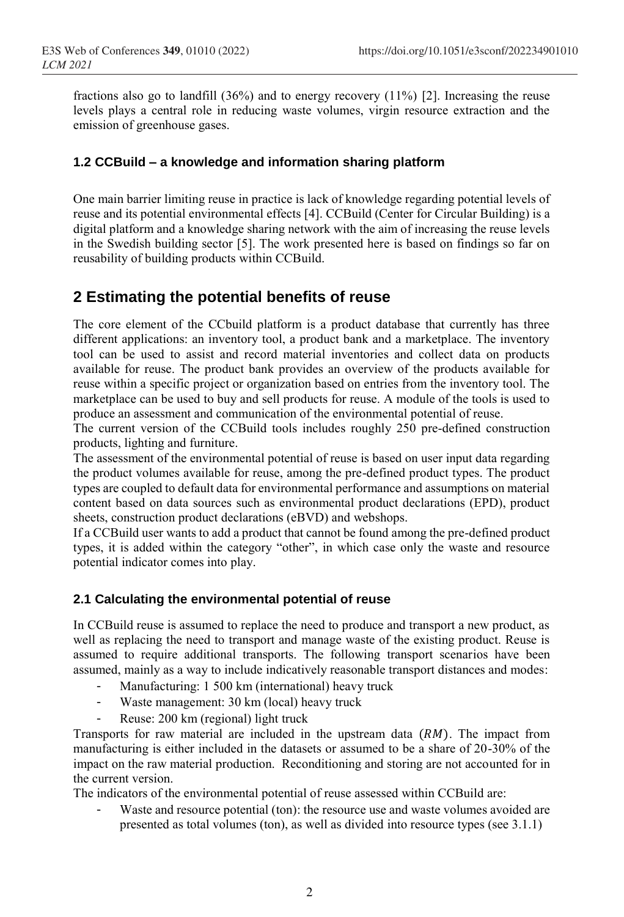fractions also go to landfill  $(36%)$  and to energy recovery  $(11%)$  [2]. Increasing the reuse levels plays a central role in reducing waste volumes, virgin resource extraction and the emission of greenhouse gases.

### **1.2 CCBuild – a knowledge and information sharing platform**

One main barrier limiting reuse in practice is lack of knowledge regarding potential levels of reuse and its potential environmental effects [4]. CCBuild (Center for Circular Building) is a digital platform and a knowledge sharing network with the aim of increasing the reuse levels in the Swedish building sector [5]. The work presented here is based on findings so far on reusability of building products within CCBuild.

### **2 Estimating the potential benefits of reuse**

The core element of the CCbuild platform is a product database that currently has three different applications: an inventory tool, a product bank and a marketplace. The inventory tool can be used to assist and record material inventories and collect data on products available for reuse. The product bank provides an overview of the products available for reuse within a specific project or organization based on entries from the inventory tool. The marketplace can be used to buy and sell products for reuse. A module of the tools is used to produce an assessment and communication of the environmental potential of reuse.

The current version of the CCBuild tools includes roughly 250 pre-defined construction products, lighting and furniture.

The assessment of the environmental potential of reuse is based on user input data regarding the product volumes available for reuse, among the pre-defined product types. The product types are coupled to default data for environmental performance and assumptions on material content based on data sources such as environmental product declarations (EPD), product sheets, construction product declarations (eBVD) and webshops.

If a CCBuild user wants to add a product that cannot be found among the pre-defined product types, it is added within the category "other", in which case only the waste and resource potential indicator comes into play.

### **2.1 Calculating the environmental potential of reuse**

In CCBuild reuse is assumed to replace the need to produce and transport a new product, as well as replacing the need to transport and manage waste of the existing product. Reuse is assumed to require additional transports. The following transport scenarios have been assumed, mainly as a way to include indicatively reasonable transport distances and modes:

- Manufacturing: 1 500 km (international) heavy truck
- Waste management: 30 km (local) heavy truck
- Reuse: 200 km (regional) light truck

Transports for raw material are included in the upstream data  $(RM)$ . The impact from manufacturing is either included in the datasets or assumed to be a share of 20-30% of the impact on the raw material production. Reconditioning and storing are not accounted for in the current version.

The indicators of the environmental potential of reuse assessed within CCBuild are:

Waste and resource potential (ton): the resource use and waste volumes avoided are presented as total volumes (ton), as well as divided into resource types (see 3.1.1)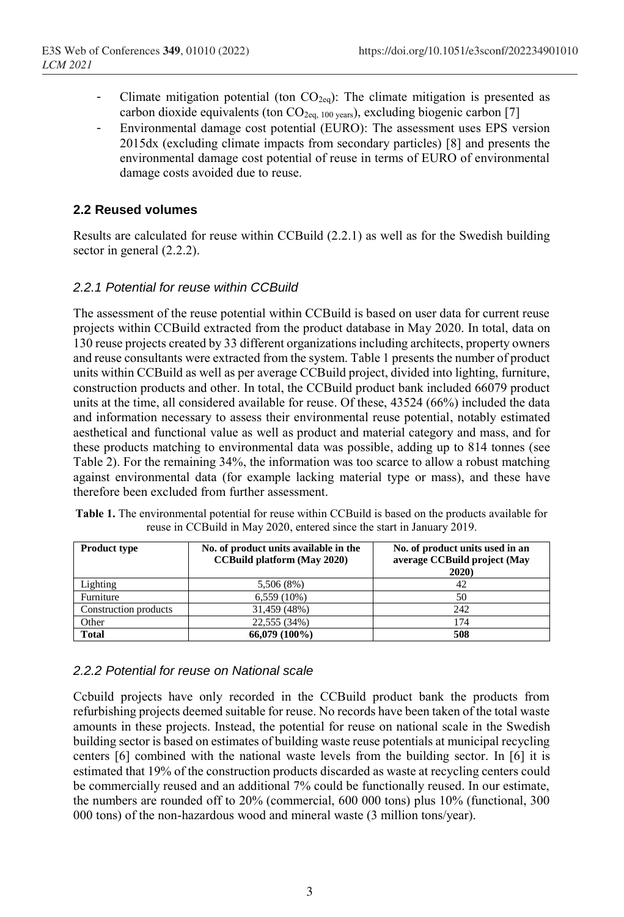- Climate mitigation potential (ton  $CO<sub>2eq</sub>$ ): The climate mitigation is presented as carbon dioxide equivalents (ton CO<sub>2eq, 100 years</sub>), excluding biogenic carbon [7]
- Environmental damage cost potential (EURO): The assessment uses EPS version 2015dx (excluding climate impacts from secondary particles) [8] and presents the environmental damage cost potential of reuse in terms of EURO of environmental damage costs avoided due to reuse.

### **2.2 Reused volumes**

Results are calculated for reuse within CCBuild (2.2.1) as well as for the Swedish building sector in general (2.2.2).

### *2.2.1 Potential for reuse within CCBuild*

The assessment of the reuse potential within CCBuild is based on user data for current reuse projects within CCBuild extracted from the product database in May 2020. In total, data on 130 reuse projects created by 33 different organizations including architects, property owners and reuse consultants were extracted from the system. Table 1 presents the number of product units within CCBuild as well as per average CCBuild project, divided into lighting, furniture, construction products and other. In total, the CCBuild product bank included 66079 product units at the time, all considered available for reuse. Of these, 43524 (66%) included the data and information necessary to assess their environmental reuse potential, notably estimated aesthetical and functional value as well as product and material category and mass, and for these products matching to environmental data was possible, adding up to 814 tonnes (see Table 2). For the remaining 34%, the information was too scarce to allow a robust matching against environmental data (for example lacking material type or mass), and these have therefore been excluded from further assessment.

| <b>Product type</b>   | No. of product units available in the<br><b>CCBuild platform (May 2020)</b> | No. of product units used in an<br>average CCBuild project (May<br>2020) |
|-----------------------|-----------------------------------------------------------------------------|--------------------------------------------------------------------------|
| Lighting              | 5,506 (8%)                                                                  | 42                                                                       |
| Furniture             | $6,559(10\%)$                                                               | 50                                                                       |
| Construction products | 31,459 (48%)                                                                | 242                                                                      |
| Other                 | 22,555 (34%)                                                                | 174                                                                      |
| <b>Total</b>          | 66,079 (100%)                                                               | 508                                                                      |

| <b>Table 1.</b> The environmental potential for reuse within CCBuild is based on the products available for |                                                                        |  |  |
|-------------------------------------------------------------------------------------------------------------|------------------------------------------------------------------------|--|--|
|                                                                                                             | reuse in CCBuild in May 2020, entered since the start in January 2019. |  |  |

### *2.2.2 Potential for reuse on National scale*

Ccbuild projects have only recorded in the CCBuild product bank the products from refurbishing projects deemed suitable for reuse. No records have been taken of the total waste amounts in these projects. Instead, the potential for reuse on national scale in the Swedish building sector is based on estimates of building waste reuse potentials at municipal recycling centers [6] combined with the national waste levels from the building sector. In [6] it is estimated that 19% of the construction products discarded as waste at recycling centers could be commercially reused and an additional 7% could be functionally reused. In our estimate, the numbers are rounded off to 20% (commercial, 600 000 tons) plus 10% (functional, 300 000 tons) of the non-hazardous wood and mineral waste (3 million tons/year).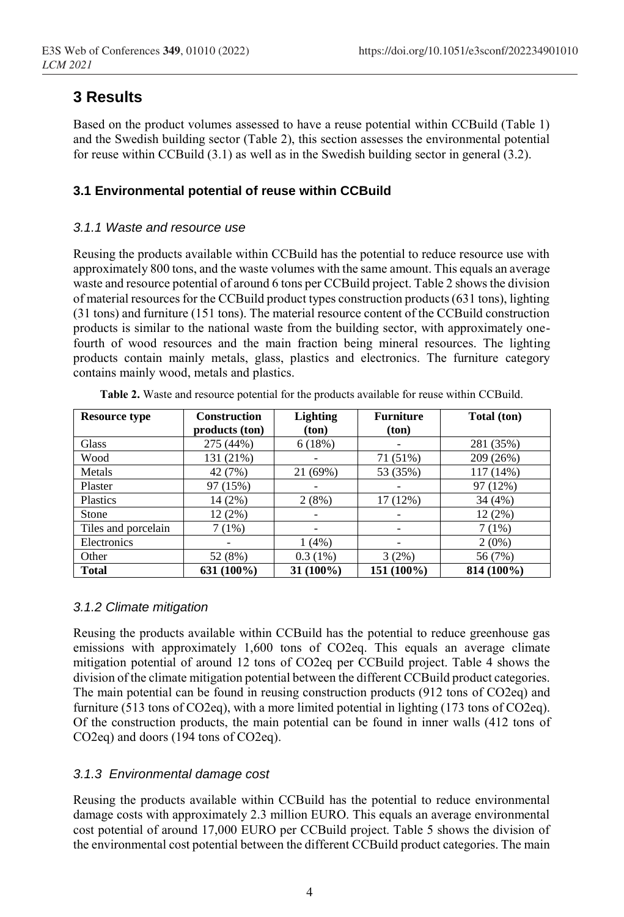# **3 Results**

Based on the product volumes assessed to have a reuse potential within CCBuild (Table 1) and the Swedish building sector (Table 2), this section assesses the environmental potential for reuse within CCBuild (3.1) as well as in the Swedish building sector in general (3.2).

### **3.1 Environmental potential of reuse within CCBuild**

### *3.1.1 Waste and resource use*

Reusing the products available within CCBuild has the potential to reduce resource use with approximately 800 tons, and the waste volumes with the same amount. This equals an average waste and resource potential of around 6 tons per CCBuild project. Table 2 shows the division of material resources for the CCBuild product types construction products (631 tons), lighting (31 tons) and furniture (151 tons). The material resource content of the CCBuild construction products is similar to the national waste from the building sector, with approximately onefourth of wood resources and the main fraction being mineral resources. The lighting products contain mainly metals, glass, plastics and electronics. The furniture category contains mainly wood, metals and plastics.

| <b>Resource type</b> | <b>Construction</b> | <b>Lighting</b> | <b>Furniture</b> | Total (ton) |
|----------------------|---------------------|-----------------|------------------|-------------|
|                      | products (ton)      | (ton)           | ton)             |             |
| <b>Glass</b>         | 275 (44%)           | 6(18%)          |                  | 281 (35%)   |
| Wood                 | 131 (21%)           |                 | 71 (51%)         | 209 (26%)   |
| Metals               | 42 (7%)             | 21 (69%)        | 53 (35%)         | 117 (14%)   |
| Plaster              | 97 (15%)            |                 |                  | 97 (12%)    |
| Plastics             | 14 (2%)             | 2(8%)           | 17(12%)          | 34 (4%)     |
| Stone                | 12(2%)              |                 |                  | 12(2%)      |
| Tiles and porcelain  | 7(1%)               |                 |                  | 7(1%)       |
| Electronics          |                     | $1(4\%)$        |                  | $2(0\%)$    |
| Other                | 52 (8%)             | $0.3(1\%)$      | 3(2%)            | 56 (7%)     |
| Total                | $631(100\%)$        | 31 (100%)       | 151 (100%)       | 814 (100%)  |

**Table 2.** Waste and resource potential for the products available for reuse within CCBuild.

### *3.1.2 Climate mitigation*

Reusing the products available within CCBuild has the potential to reduce greenhouse gas emissions with approximately 1,600 tons of CO2eq. This equals an average climate mitigation potential of around 12 tons of CO2eq per CCBuild project. Table 4 shows the division of the climate mitigation potential between the different CCBuild product categories. The main potential can be found in reusing construction products (912 tons of CO2eq) and furniture (513 tons of CO2eq), with a more limited potential in lighting (173 tons of CO2eq). Of the construction products, the main potential can be found in inner walls (412 tons of CO2eq) and doors (194 tons of CO2eq).

### *3.1.3 Environmental damage cost*

Reusing the products available within CCBuild has the potential to reduce environmental damage costs with approximately 2.3 million EURO. This equals an average environmental cost potential of around 17,000 EURO per CCBuild project. Table 5 shows the division of the environmental cost potential between the different CCBuild product categories. The main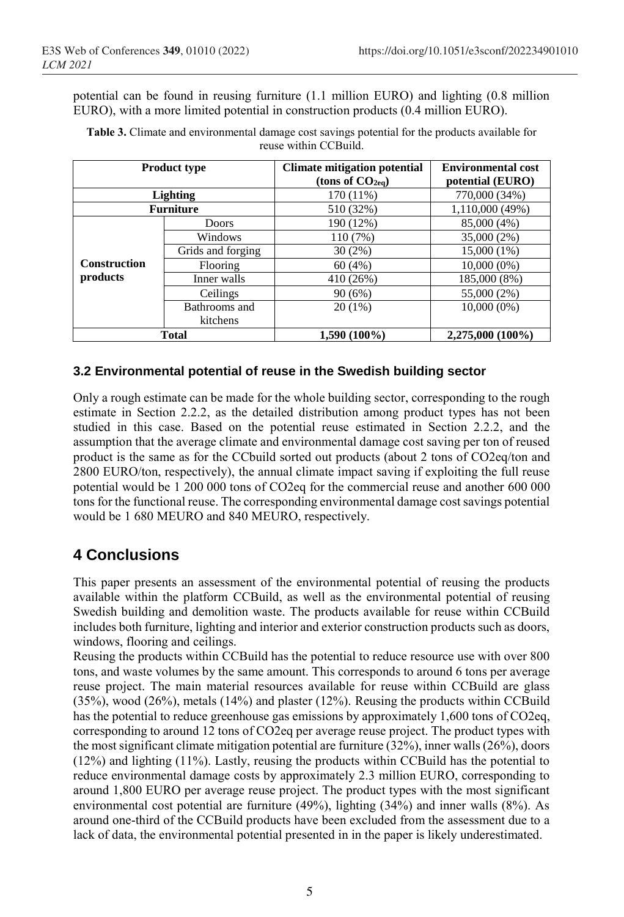potential can be found in reusing furniture (1.1 million EURO) and lighting (0.8 million EURO), with a more limited potential in construction products (0.4 million EURO).

| <b>Product type</b> |                   | <b>Climate mitigation potential</b> | <b>Environmental cost</b> |  |
|---------------------|-------------------|-------------------------------------|---------------------------|--|
|                     |                   | (tons of $CO2eq$ )                  | potential (EURO)          |  |
| <b>Lighting</b>     |                   | 170 (11%)                           | 770,000 (34%)             |  |
| <b>Furniture</b>    |                   | 510 (32%)                           | 1,110,000 (49%)           |  |
|                     | Doors             | 190 (12%)                           | 85,000 (4%)               |  |
|                     | Windows           | 110 (7%)                            | 35,000 (2%)               |  |
|                     | Grids and forging | 30(2%)                              | 15,000 (1%)               |  |
| <b>Construction</b> | Flooring          | 60(4%)                              | $10,000(0\%)$             |  |
| products            | Inner walls       | 410 (26%)                           | 185,000 (8%)              |  |
|                     | Ceilings          | 90(6%)                              | 55,000 (2%)               |  |
|                     | Bathrooms and     | $20(1\%)$                           | $10,000(0\%)$             |  |
|                     | kitchens          |                                     |                           |  |
| <b>Total</b>        |                   | $1,590(100\%)$                      | 2,275,000 (100%)          |  |

**Table 3.** Climate and environmental damage cost savings potential for the products available for reuse within CCBuild.

### **3.2 Environmental potential of reuse in the Swedish building sector**

Only a rough estimate can be made for the whole building sector, corresponding to the rough estimate in Section 2.2.2, as the detailed distribution among product types has not been studied in this case. Based on the potential reuse estimated in Section 2.2.2, and the assumption that the average climate and environmental damage cost saving per ton of reused product is the same as for the CCbuild sorted out products (about 2 tons of CO2eq/ton and 2800 EURO/ton, respectively), the annual climate impact saving if exploiting the full reuse potential would be 1 200 000 tons of CO2eq for the commercial reuse and another 600 000 tons for the functional reuse. The corresponding environmental damage cost savings potential would be 1 680 MEURO and 840 MEURO, respectively.

# **4 Conclusions**

This paper presents an assessment of the environmental potential of reusing the products available within the platform CCBuild, as well as the environmental potential of reusing Swedish building and demolition waste. The products available for reuse within CCBuild includes both furniture, lighting and interior and exterior construction products such as doors, windows, flooring and ceilings.

Reusing the products within CCBuild has the potential to reduce resource use with over 800 tons, and waste volumes by the same amount. This corresponds to around 6 tons per average reuse project. The main material resources available for reuse within CCBuild are glass (35%), wood (26%), metals (14%) and plaster (12%). Reusing the products within CCBuild has the potential to reduce greenhouse gas emissions by approximately 1,600 tons of CO2eq, corresponding to around 12 tons of CO2eq per average reuse project. The product types with the most significant climate mitigation potential are furniture (32%), inner walls (26%), doors (12%) and lighting (11%). Lastly, reusing the products within CCBuild has the potential to reduce environmental damage costs by approximately 2.3 million EURO, corresponding to around 1,800 EURO per average reuse project. The product types with the most significant environmental cost potential are furniture (49%), lighting (34%) and inner walls (8%). As around one-third of the CCBuild products have been excluded from the assessment due to a lack of data, the environmental potential presented in in the paper is likely underestimated.